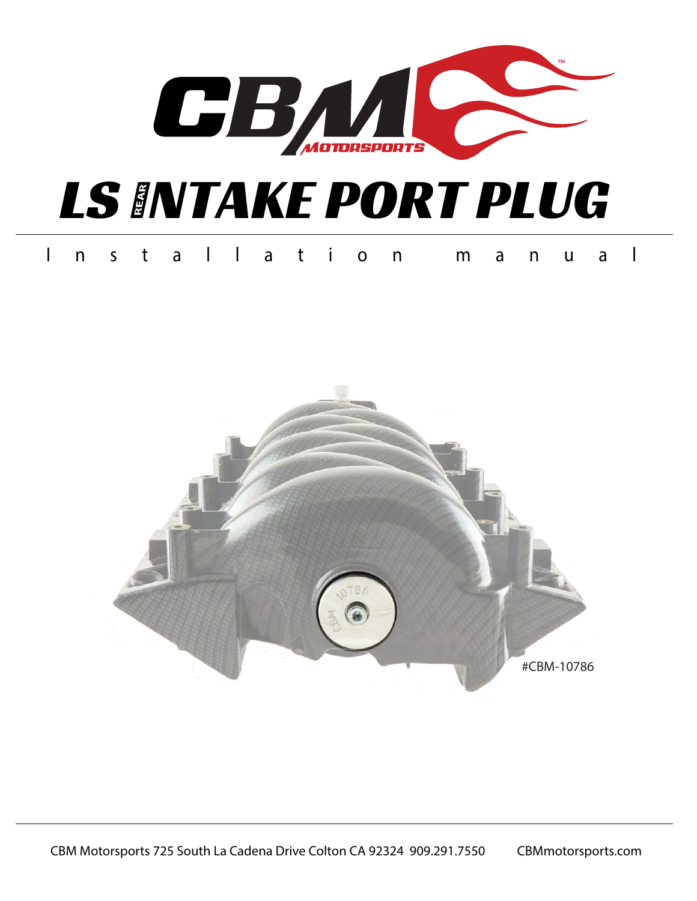

# **LS INTAKE PORT PLUG**

#### Installation m a n u a l

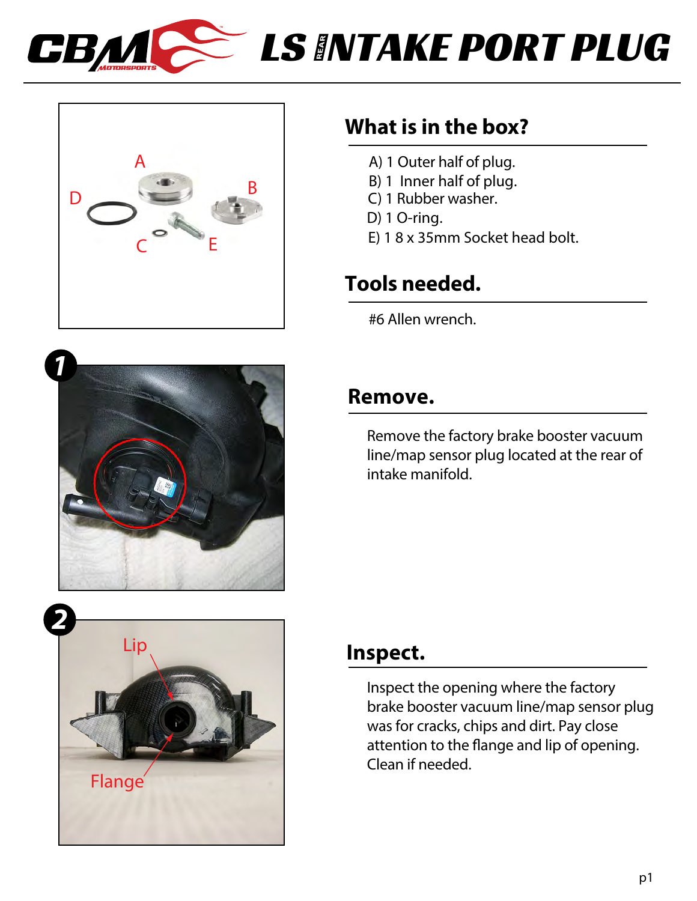



## $\geq$  **LS INTAKE PORT PLUG**

### **What is in the box?**

- A) 1 Outer half of plug.
- B) 1 Inner half of plug.
- C) 1 Rubber washer.
- D) 1 O-ring.
- E) 1 8 x 35mm Socket head bolt.

### **Tools needed.**

#6 Allen wrench.



# *2* Flange Lip

### **Remove.**

Remove the factory brake booster vacuum line/map sensor plug located at the rear of intake manifold.

### **Inspect.**

Inspect the opening where the factory brake booster vacuum line/map sensor plug was for cracks, chips and dirt. Pay close attention to the flange and lip of opening. Clean if needed.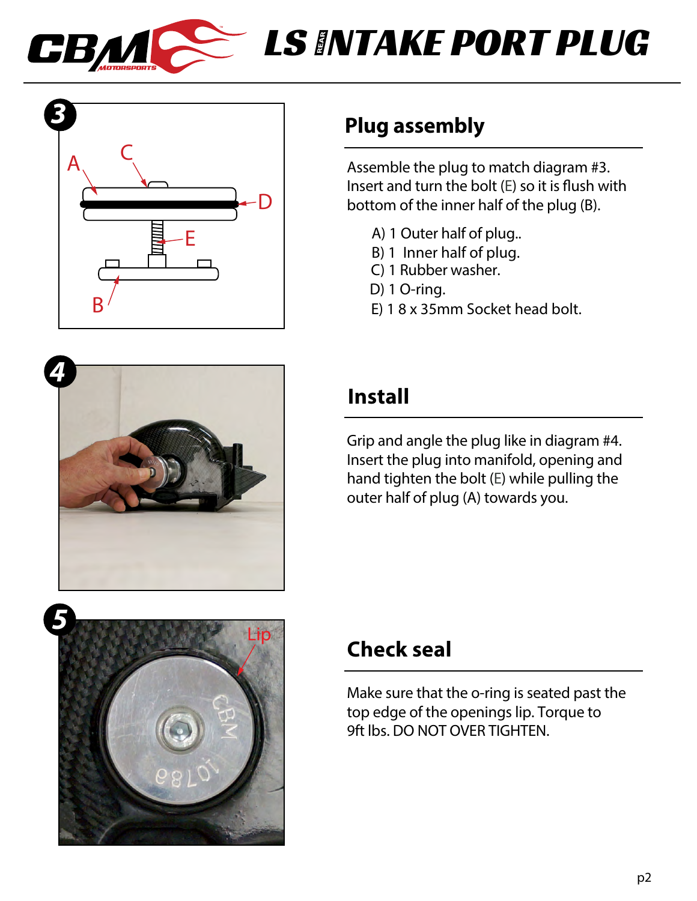

### **LS INTAKE PORT PLUG**







### **Plug assembly**

Assemble the plug to match diagram #3. Insert and turn the bolt  $(E)$  so it is flush with bottom of the inner half of the plug (B).

- A) 1 Outer half of plug..
- B) 1 Inner half of plug.
- C) 1 Rubber washer.
- D) 1 O-ring.
- E) 1 8 x 35mm Socket head bolt.

### **Install**

Grip and angle the plug like in diagram #4. Insert the plug into manifold, opening and hand tighten the bolt (E) while pulling the outer half of plug (A) towards you.

### **Check seal**

Make sure that the o-ring is seated past the top edge of the openings lip. Torque to 9ft lbs. DO NOT OVER TIGHTEN.